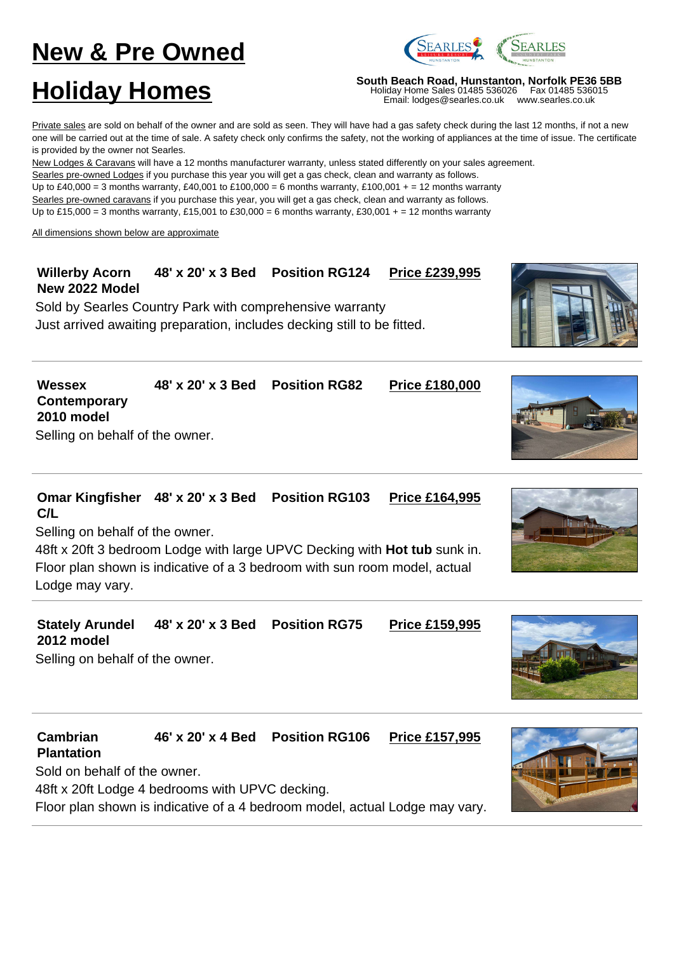# **New & Pre Owned**



**Holiday Homes**<br>
Moliday Home Sales 01485 536026 Fax 01485 536015<br>
Email: lodges@searles.co.uk www.searles.co.uk

Holiday Home Sales 01485 536026 Email: lodges@searles.co.uk

Private sales are sold on behalf of the owner and are sold as seen. They will have had a gas safety check during the last 12 months, if not a new one will be carried out at the time of sale. A safety check only confirms the safety, not the working of appliances at the time of issue. The certificate is provided by the owner not Searles.

New Lodges & Caravans will have a 12 months manufacturer warranty, unless stated differently on your sales agreement.

Searles pre-owned Lodges if you purchase this year you will get a gas check, clean and warranty as follows. Up to £40,000 = 3 months warranty, £40,001 to £100,000 = 6 months warranty, £100,001 + = 12 months warranty Searles pre-owned caravans if you purchase this year, you will get a gas check, clean and warranty as follows.

Up to £15,000 = 3 months warranty, £15,001 to £30,000 = 6 months warranty, £30,001 + = 12 months warranty

All dimensions shown below are approximate

#### **Willerby Acorn New 2022 Model 48' x 20' x 3 Bed Position RG124 Price £239,995**

Sold by Searles Country Park with comprehensive warranty Just arrived awaiting preparation, includes decking still to be fitted.





### **Omar Kingfisher 48' x 20' x 3 Bed Position RG103 Price £164,995 C/L**

Selling on behalf of the owner.

48ft x 20ft 3 bedroom Lodge with large UPVC Decking with **Hot tub** sunk in. Floor plan shown is indicative of a 3 bedroom with sun room model, actual Lodge may vary.



### **Cambrian Plantation 46' x 20' x 4 Bed Position RG106 Price £157,995**

Sold on behalf of the owner. 48ft x 20ft Lodge 4 bedrooms with UPVC decking. Floor plan shown is indicative of a 4 bedroom model, actual Lodge may vary.